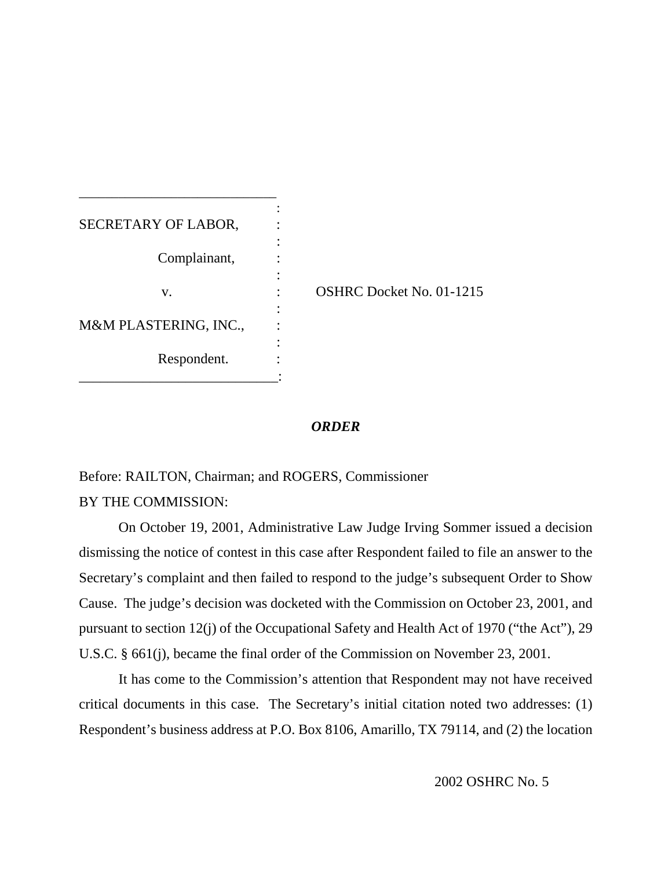| <b>OSHRC</b> Docket No. 01-1215 |
|---------------------------------|
|                                 |
|                                 |
|                                 |

## *ORDER*

Before: RAILTON, Chairman; and ROGERS, Commissioner BY THE COMMISSION:

On October 19, 2001, Administrative Law Judge Irving Sommer issued a decision dismissing the notice of contest in this case after Respondent failed to file an answer to the Secretary's complaint and then failed to respond to the judge's subsequent Order to Show Cause. The judge's decision was docketed with the Commission on October 23, 2001, and pursuant to section 12(j) of the Occupational Safety and Health Act of 1970 ("the Act"), 29 U.S.C. § 661(j), became the final order of the Commission on November 23, 2001.

It has come to the Commission's attention that Respondent may not have received critical documents in this case. The Secretary's initial citation noted two addresses: (1) Respondent's business address at P.O. Box 8106, Amarillo, TX 79114, and (2) the location

2002 OSHRC No. 5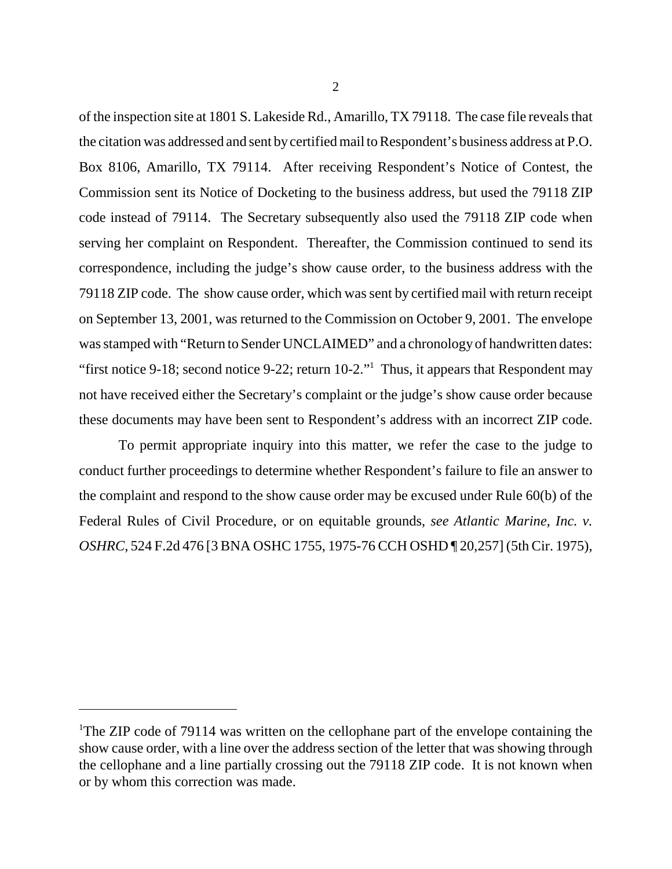of the inspection site at 1801 S. Lakeside Rd., Amarillo, TX 79118. The case file reveals that the citation was addressed and sent by certified mail to Respondent's business address at P.O. Box 8106, Amarillo, TX 79114. After receiving Respondent's Notice of Contest, the Commission sent its Notice of Docketing to the business address, but used the 79118 ZIP code instead of 79114. The Secretary subsequently also used the 79118 ZIP code when serving her complaint on Respondent. Thereafter, the Commission continued to send its correspondence, including the judge's show cause order, to the business address with the 79118 ZIP code. The show cause order, which was sent by certified mail with return receipt on September 13, 2001, was returned to the Commission on October 9, 2001. The envelope was stamped with "Return to Sender UNCLAIMED" and a chronology of handwritten dates: "first notice 9-18; second notice 9-22; return  $10$ -2." Thus, it appears that Respondent may not have received either the Secretary's complaint or the judge's show cause order because these documents may have been sent to Respondent's address with an incorrect ZIP code.

To permit appropriate inquiry into this matter, we refer the case to the judge to conduct further proceedings to determine whether Respondent's failure to file an answer to the complaint and respond to the show cause order may be excused under Rule 60(b) of the Federal Rules of Civil Procedure, or on equitable grounds, *see Atlantic Marine, Inc. v. OSHRC*, 524 F.2d 476 [3 BNA OSHC 1755, 1975-76 CCH OSHD ¶ 20,257] (5th Cir. 1975),

<sup>&</sup>lt;sup>1</sup>The ZIP code of 79114 was written on the cellophane part of the envelope containing the show cause order, with a line over the address section of the letter that was showing through the cellophane and a line partially crossing out the 79118 ZIP code. It is not known when or by whom this correction was made.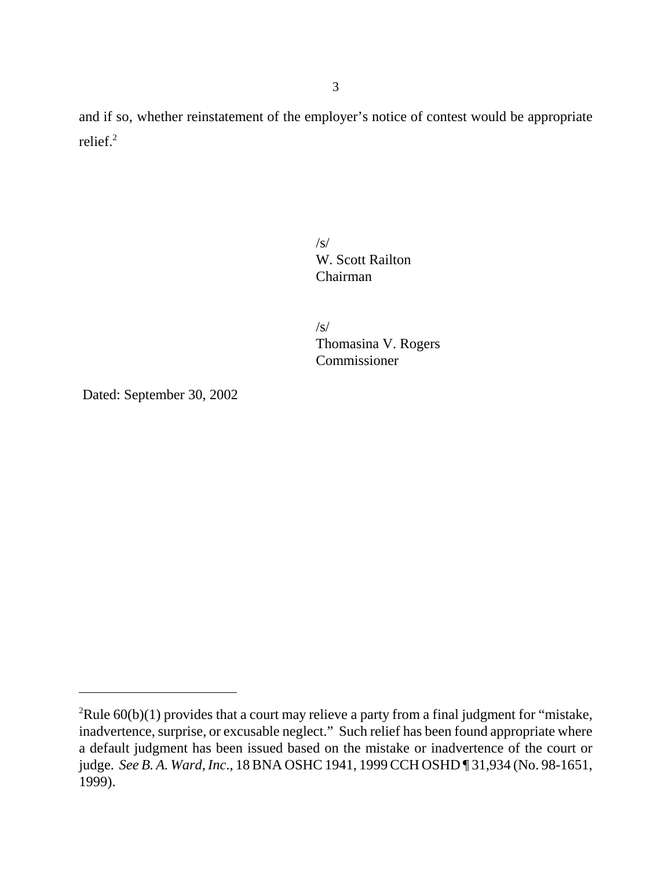and if so, whether reinstatement of the employer's notice of contest would be appropriate relief. 2

> /s/ W. Scott Railton Chairman

/s/ Thomasina V. Rogers Commissioner

Dated: September 30, 2002

<sup>&</sup>lt;sup>2</sup>Rule 60(b)(1) provides that a court may relieve a party from a final judgment for "mistake, inadvertence, surprise, or excusable neglect." Such relief has been found appropriate where a default judgment has been issued based on the mistake or inadvertence of the court or judge. *See B. A. Ward, Inc*., 18 BNA OSHC 1941, 1999 CCH OSHD ¶ 31,934 (No. 98-1651, 1999).